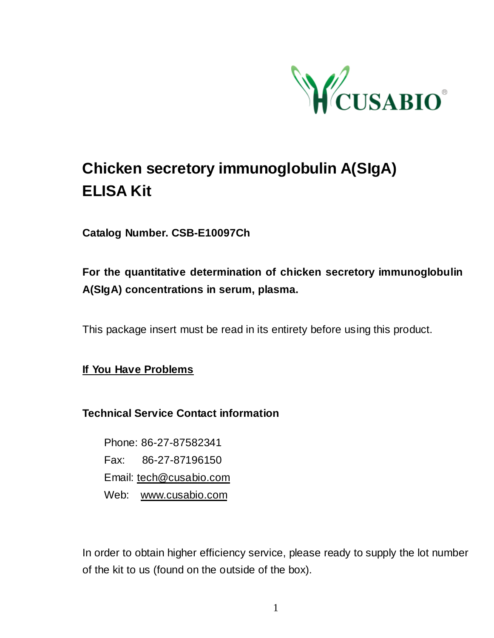

# **Chicken secretory immunoglobulin A(SIgA) ELISA Kit**

**Catalog Number. CSB-E10097Ch**

## **For the quantitative determination of chicken secretory immunoglobulin A(SIgA) concentrations in serum, plasma.**

This package insert must be read in its entirety before using this product.

**If You Have Problems**

**Technical Service Contact information**

Phone: 86-27-87582341 Fax: 86-27-87196150 Email: [tech@cusabio.com](mailto:tech@cusabio.com) Web: [www.cusabio.com](http://www.cusabio.com/)

In order to obtain higher efficiency service, please ready to supply the lot number of the kit to us (found on the outside of the box).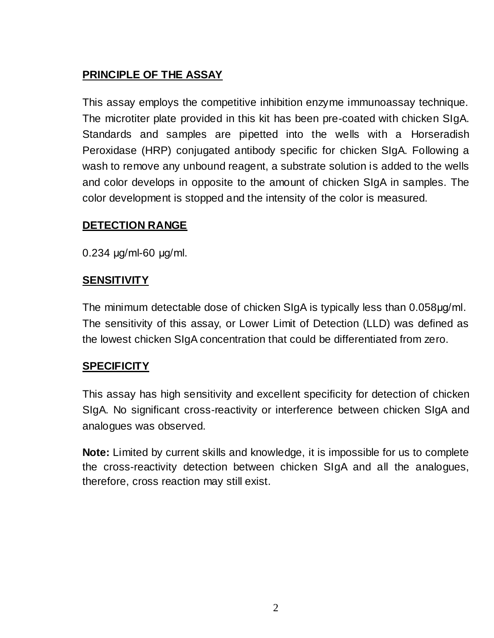## **PRINCIPLE OF THE ASSAY**

This assay employs the competitive inhibition enzyme immunoassay technique. The microtiter plate provided in this kit has been pre-coated with chicken SIgA. Standards and samples are pipetted into the wells with a Horseradish Peroxidase (HRP) conjugated antibody specific for chicken SIgA. Following a wash to remove any unbound reagent, a substrate solution is added to the wells and color develops in opposite to the amount of chicken SIgA in samples. The color development is stopped and the intensity of the color is measured.

#### **DETECTION RANGE**

0.234 μg/ml-60 μg/ml.

#### **SENSITIVITY**

The minimum detectable dose of chicken SIgA is typically less than 0.058μg/ml. The sensitivity of this assay, or Lower Limit of Detection (LLD) was defined as the lowest chicken SIgA concentration that could be differentiated from zero.

#### **SPECIFICITY**

This assay has high sensitivity and excellent specificity for detection of chicken SIgA. No significant cross-reactivity or interference between chicken SIgA and analogues was observed.

**Note:** Limited by current skills and knowledge, it is impossible for us to complete the cross-reactivity detection between chicken SIgA and all the analogues, therefore, cross reaction may still exist.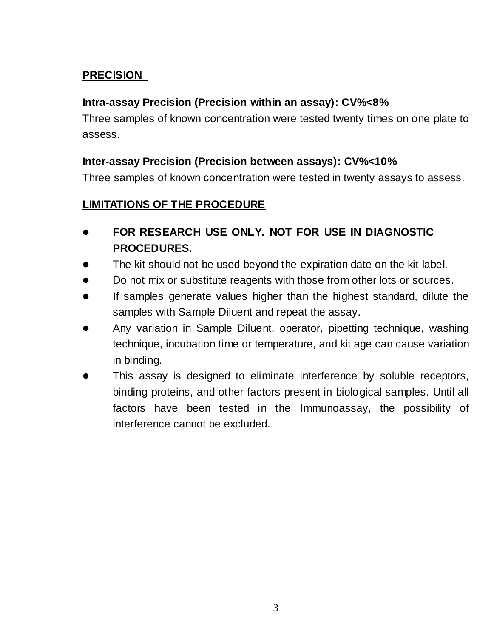### **PRECISION**

#### **Intra-assay Precision (Precision within an assay): CV%<8%**

Three samples of known concentration were tested twenty times on one plate to assess.

#### **Inter-assay Precision (Precision between assays): CV%<10%**

Three samples of known concentration were tested in twenty assays to assess.

#### **LIMITATIONS OF THE PROCEDURE**

- **FOR RESEARCH USE ONLY. NOT FOR USE IN DIAGNOSTIC PROCEDURES.**
- The kit should not be used beyond the expiration date on the kit label.
- Do not mix or substitute reagents with those from other lots or sources.
- If samples generate values higher than the highest standard, dilute the samples with Sample Diluent and repeat the assay.
- Any variation in Sample Diluent, operator, pipetting technique, washing technique, incubation time or temperature, and kit age can cause variation in binding.
- This assay is designed to eliminate interference by soluble receptors, binding proteins, and other factors present in biological samples. Until all factors have been tested in the Immunoassay, the possibility of interference cannot be excluded.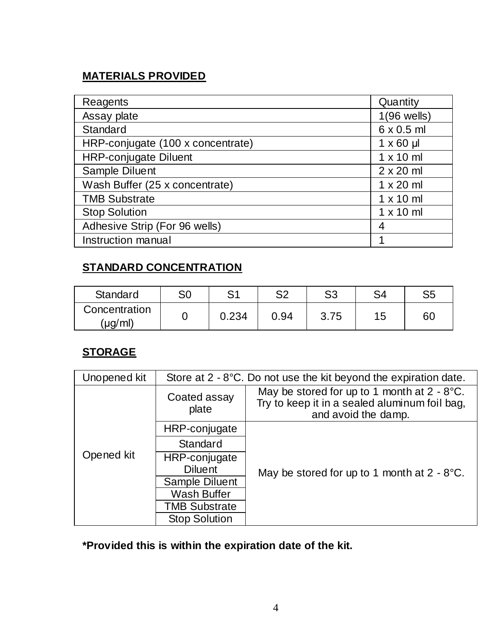## **MATERIALS PROVIDED**

| Reagents                          | Quantity          |  |  |
|-----------------------------------|-------------------|--|--|
| Assay plate                       | $1(96$ wells)     |  |  |
| Standard                          | $6 \times 0.5$ ml |  |  |
| HRP-conjugate (100 x concentrate) | $1 \times 60$ µ   |  |  |
| <b>HRP-conjugate Diluent</b>      | $1 \times 10$ ml  |  |  |
| Sample Diluent                    | $2 \times 20$ ml  |  |  |
| Wash Buffer (25 x concentrate)    | $1 \times 20$ ml  |  |  |
| <b>TMB Substrate</b>              | $1 \times 10$ ml  |  |  |
| <b>Stop Solution</b>              | $1 \times 10$ ml  |  |  |
| Adhesive Strip (For 96 wells)     | 4                 |  |  |
| Instruction manual                |                   |  |  |

### **STANDARD CONCENTRATION**

| Standard                 | S0 | C <sub>1</sub> | c0   | S3   | S4 | S5 |
|--------------------------|----|----------------|------|------|----|----|
| Concentration<br>(µg/ml) |    | 0.234          | 0.94 | 3.75 | 15 | 60 |

## **STORAGE**

| Unopened kit | Store at $2 - 8$ °C. Do not use the kit beyond the expiration date. |                                                                                                                        |  |  |  |
|--------------|---------------------------------------------------------------------|------------------------------------------------------------------------------------------------------------------------|--|--|--|
| Opened kit   | Coated assay<br>plate                                               | May be stored for up to 1 month at $2 - 8$ °C.<br>Try to keep it in a sealed aluminum foil bag,<br>and avoid the damp. |  |  |  |
|              | HRP-conjugate                                                       |                                                                                                                        |  |  |  |
|              | Standard                                                            |                                                                                                                        |  |  |  |
|              | HRP-conjugate                                                       |                                                                                                                        |  |  |  |
|              | <b>Diluent</b>                                                      | May be stored for up to 1 month at $2 - 8$ °C.                                                                         |  |  |  |
|              | Sample Diluent                                                      |                                                                                                                        |  |  |  |
|              | Wash Buffer                                                         |                                                                                                                        |  |  |  |
|              | <b>TMB Substrate</b>                                                |                                                                                                                        |  |  |  |
|              | <b>Stop Solution</b>                                                |                                                                                                                        |  |  |  |

**\*Provided this is within the expiration date of the kit.**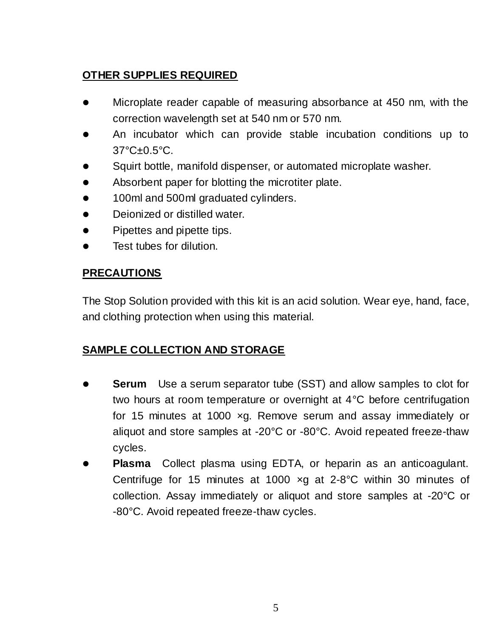## **OTHER SUPPLIES REQUIRED**

- Microplate reader capable of measuring absorbance at 450 nm, with the correction wavelength set at 540 nm or 570 nm.
- An incubator which can provide stable incubation conditions up to 37°C±0.5°C.
- Squirt bottle, manifold dispenser, or automated microplate washer.
- Absorbent paper for blotting the microtiter plate.
- 100ml and 500ml graduated cylinders.
- **•** Deionized or distilled water.
- Pipettes and pipette tips.
- **•** Test tubes for dilution.

## **PRECAUTIONS**

The Stop Solution provided with this kit is an acid solution. Wear eye, hand, face, and clothing protection when using this material.

### **SAMPLE COLLECTION AND STORAGE**

- **Serum** Use a serum separator tube (SST) and allow samples to clot for two hours at room temperature or overnight at 4°C before centrifugation for 15 minutes at 1000 ×g. Remove serum and assay immediately or aliquot and store samples at -20°C or -80°C. Avoid repeated freeze-thaw cycles.
- **Plasma** Collect plasma using EDTA, or heparin as an anticoagulant. Centrifuge for 15 minutes at 1000 ×g at 2-8°C within 30 minutes of collection. Assay immediately or aliquot and store samples at -20°C or -80°C. Avoid repeated freeze-thaw cycles.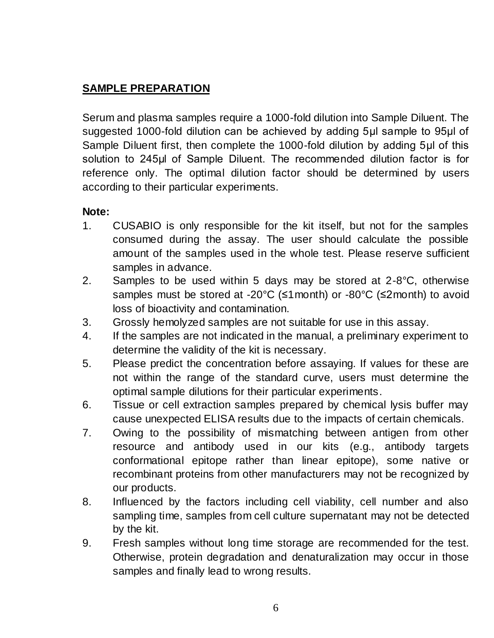## **SAMPLE PREPARATION**

Serum and plasma samples require a 1000-fold dilution into Sample Diluent. The suggested 1000-fold dilution can be achieved by adding 5μl sample to 95μl of Sample Diluent first, then complete the 1000-fold dilution by adding 5μl of this solution to 245μl of Sample Diluent. The recommended dilution factor is for reference only. The optimal dilution factor should be determined by users according to their particular experiments.

#### **Note:**

- 1. CUSABIO is only responsible for the kit itself, but not for the samples consumed during the assay. The user should calculate the possible amount of the samples used in the whole test. Please reserve sufficient samples in advance.
- 2. Samples to be used within 5 days may be stored at 2-8°C, otherwise samples must be stored at -20 $^{\circ}$ C ( $\leq$ 1 month) or -80 $^{\circ}$ C ( $\leq$ 2 month) to avoid loss of bioactivity and contamination.
- 3. Grossly hemolyzed samples are not suitable for use in this assay.
- 4. If the samples are not indicated in the manual, a preliminary experiment to determine the validity of the kit is necessary.
- 5. Please predict the concentration before assaying. If values for these are not within the range of the standard curve, users must determine the optimal sample dilutions for their particular experiments.
- 6. Tissue or cell extraction samples prepared by chemical lysis buffer may cause unexpected ELISA results due to the impacts of certain chemicals.
- 7. Owing to the possibility of mismatching between antigen from other resource and antibody used in our kits (e.g., antibody targets conformational epitope rather than linear epitope), some native or recombinant proteins from other manufacturers may not be recognized by our products.
- 8. Influenced by the factors including cell viability, cell number and also sampling time, samples from cell culture supernatant may not be detected by the kit.
- 9. Fresh samples without long time storage are recommended for the test. Otherwise, protein degradation and denaturalization may occur in those samples and finally lead to wrong results.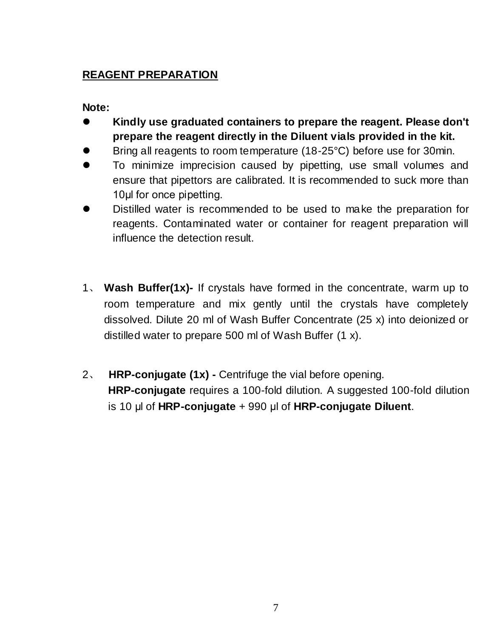## **REAGENT PREPARATION**

#### **Note:**

- **Kindly use graduated containers to prepare the reagent. Please don't prepare the reagent directly in the Diluent vials provided in the kit.**
- Bring all reagents to room temperature (18-25°C) before use for 30min.
- To minimize imprecision caused by pipetting, use small volumes and ensure that pipettors are calibrated. It is recommended to suck more than 10ul for once pipetting.
- Distilled water is recommended to be used to make the preparation for reagents. Contaminated water or container for reagent preparation will influence the detection result.
- 1、 **Wash Buffer(1x)-** If crystals have formed in the concentrate, warm up to room temperature and mix gently until the crystals have completely dissolved. Dilute 20 ml of Wash Buffer Concentrate (25 x) into deionized or distilled water to prepare 500 ml of Wash Buffer (1 x).
- 2、 **HRP-conjugate (1x) -** Centrifuge the vial before opening. **HRP-conjugate** requires a 100-fold dilution. A suggested 100-fold dilution is 10 μl of **HRP-conjugate** + 990 μl of **HRP-conjugate Diluent**.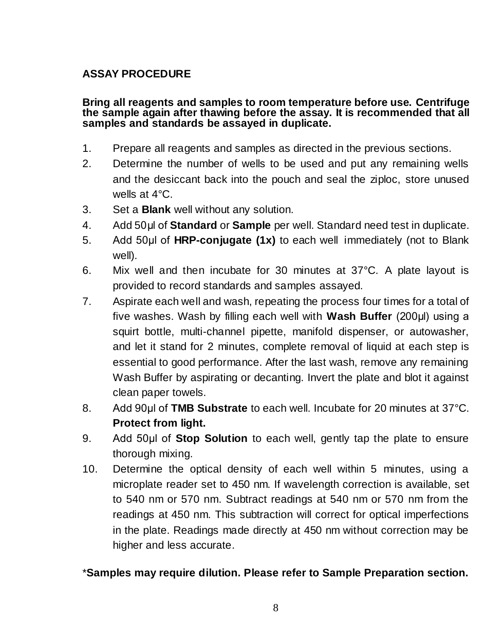#### **ASSAY PROCEDURE**

#### **Bring all reagents and samples to room temperature before use. Centrifuge the sample again after thawing before the assay. It is recommended that all samples and standards be assayed in duplicate.**

- 1. Prepare all reagents and samples as directed in the previous sections.
- 2. Determine the number of wells to be used and put any remaining wells and the desiccant back into the pouch and seal the ziploc, store unused wells at 4°C.
- 3. Set a **Blank** well without any solution.
- 4. Add 50μl of **Standard** or **Sample** per well. Standard need test in duplicate.
- 5. Add 50μl of **HRP-conjugate (1x)** to each well immediately (not to Blank well).
- 6. Mix well and then incubate for 30 minutes at 37°C. A plate layout is provided to record standards and samples assayed.
- 7. Aspirate each well and wash, repeating the process four times for a total of five washes. Wash by filling each well with **Wash Buffer** (200μl) using a squirt bottle, multi-channel pipette, manifold dispenser, or autowasher, and let it stand for 2 minutes, complete removal of liquid at each step is essential to good performance. After the last wash, remove any remaining Wash Buffer by aspirating or decanting. Invert the plate and blot it against clean paper towels.
- 8. Add 90ul of **TMB Substrate** to each well. Incubate for 20 minutes at 37<sup>°</sup>C. **Protect from light.**
- 9. Add 50μl of **Stop Solution** to each well, gently tap the plate to ensure thorough mixing.
- 10. Determine the optical density of each well within 5 minutes, using a microplate reader set to 450 nm. If wavelength correction is available, set to 540 nm or 570 nm. Subtract readings at 540 nm or 570 nm from the readings at 450 nm. This subtraction will correct for optical imperfections in the plate. Readings made directly at 450 nm without correction may be higher and less accurate.

#### \***Samples may require dilution. Please refer to Sample Preparation section.**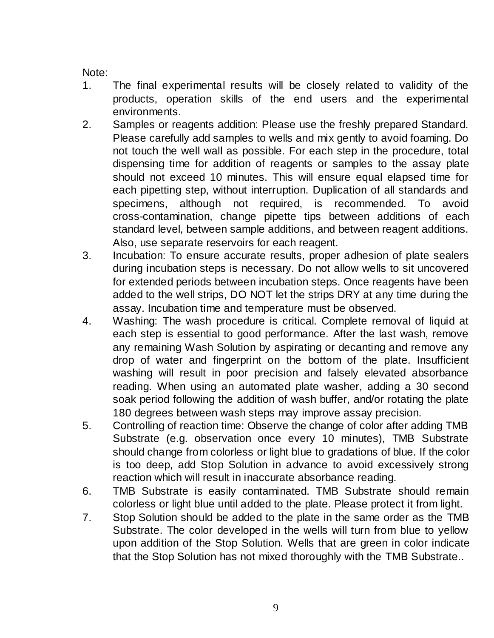Note:

- 1. The final experimental results will be closely related to validity of the products, operation skills of the end users and the experimental environments.
- 2. Samples or reagents addition: Please use the freshly prepared Standard. Please carefully add samples to wells and mix gently to avoid foaming. Do not touch the well wall as possible. For each step in the procedure, total dispensing time for addition of reagents or samples to the assay plate should not exceed 10 minutes. This will ensure equal elapsed time for each pipetting step, without interruption. Duplication of all standards and specimens, although not required, is recommended. To avoid cross-contamination, change pipette tips between additions of each standard level, between sample additions, and between reagent additions. Also, use separate reservoirs for each reagent.
- 3. Incubation: To ensure accurate results, proper adhesion of plate sealers during incubation steps is necessary. Do not allow wells to sit uncovered for extended periods between incubation steps. Once reagents have been added to the well strips, DO NOT let the strips DRY at any time during the assay. Incubation time and temperature must be observed.
- 4. Washing: The wash procedure is critical. Complete removal of liquid at each step is essential to good performance. After the last wash, remove any remaining Wash Solution by aspirating or decanting and remove any drop of water and fingerprint on the bottom of the plate. Insufficient washing will result in poor precision and falsely elevated absorbance reading. When using an automated plate washer, adding a 30 second soak period following the addition of wash buffer, and/or rotating the plate 180 degrees between wash steps may improve assay precision.
- 5. Controlling of reaction time: Observe the change of color after adding TMB Substrate (e.g. observation once every 10 minutes), TMB Substrate should change from colorless or light blue to gradations of blue. If the color is too deep, add Stop Solution in advance to avoid excessively strong reaction which will result in inaccurate absorbance reading.
- 6. TMB Substrate is easily contaminated. TMB Substrate should remain colorless or light blue until added to the plate. Please protect it from light.
- 7. Stop Solution should be added to the plate in the same order as the TMB Substrate. The color developed in the wells will turn from blue to yellow upon addition of the Stop Solution. Wells that are green in color indicate that the Stop Solution has not mixed thoroughly with the TMB Substrate..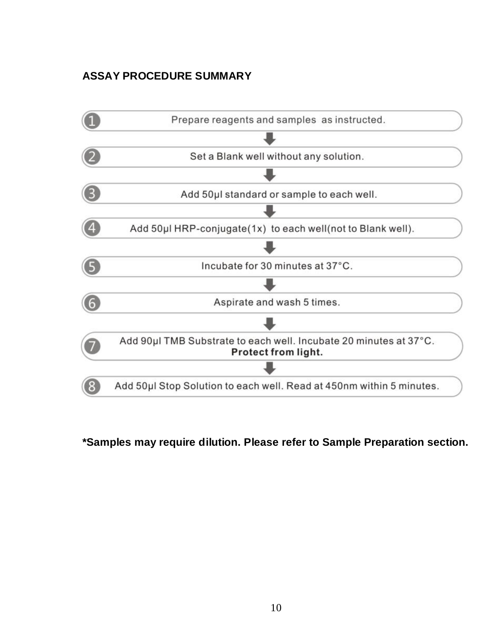## **ASSAY PROCEDURE SUMMARY**



### **\*Samples may require dilution. Please refer to Sample Preparation section.**